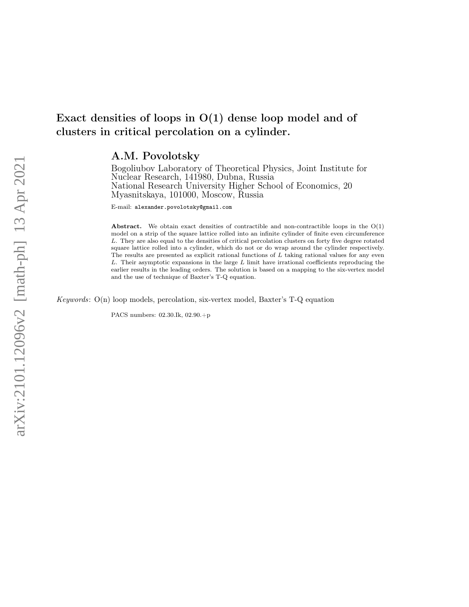## A.M. Povolotsky

Bogoliubov Laboratory of Theoretical Physics, Joint Institute for Nuclear Research, 141980, Dubna, Russia National Research University Higher School of Economics, 20 Myasnitskaya, 101000, Moscow, Russia

E-mail: alexander.povolotsky@gmail.com

Abstract. We obtain exact densities of contractible and non-contractible loops in the O(1) model on a strip of the square lattice rolled into an infinite cylinder of finite even circumference L. They are also equal to the densities of critical percolation clusters on forty five degree rotated square lattice rolled into a cylinder, which do not or do wrap around the cylinder respectively. The results are presented as explicit rational functions of  $L$  taking rational values for any even  $L$ . Their asymptotic expansions in the large  $L$  limit have irrational coefficients reproducing the earlier results in the leading orders. The solution is based on a mapping to the six-vertex model and the use of technique of Baxter's T-Q equation.

Keywords: O(n) loop models, percolation, six-vertex model, Baxter's T-Q equation

PACS numbers: 02.30.Ik, 02.90.+p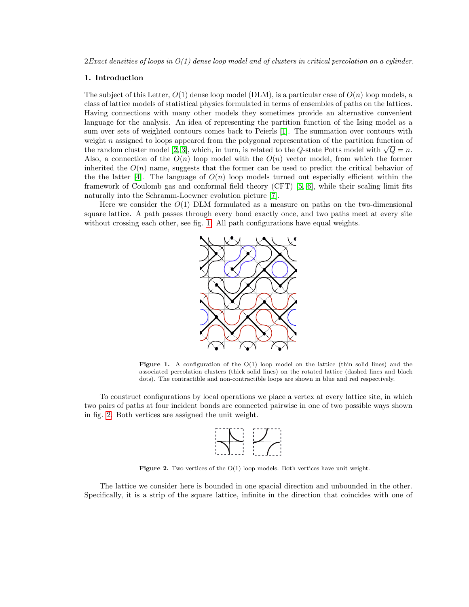## 1. Introduction

The subject of this Letter,  $O(1)$  dense loop model (DLM), is a particular case of  $O(n)$  loop models, a class of lattice models of statistical physics formulated in terms of ensembles of paths on the lattices. Having connections with many other models they sometimes provide an alternative convenient language for the analysis. An idea of representing the partition function of the Ising model as a sum over sets of weighted contours comes back to Peierls [\[1\]](#page-11-0). The summation over contours with weight  $n$  assigned to loops appeared from the polygonal representation of the partition function of weight *n* assigned to loops appeared from the polygonal representation of the partition function of the random cluster model [\[2,](#page-11-1) [3\]](#page-11-2), which, in turn, is related to the Q-state Potts model with  $\sqrt{Q} = n$ . Also, a connection of the  $O(n)$  loop model with the  $O(n)$  vector model, from which the former inherited the  $O(n)$  name, suggests that the former can be used to predict the critical behavior of the the latter [\[4\]](#page-11-3). The language of  $O(n)$  loop models turned out especially efficient within the framework of Coulomb gas and conformal field theory (CFT) [\[5,](#page-12-0) [6\]](#page-12-1), while their scaling limit fits naturally into the Schramm-Loewner evolution picture [\[7\]](#page-12-2).

Here we consider the  $O(1)$  DLM formulated as a measure on paths on the two-dimensional square lattice. A path passes through every bond exactly once, and two paths meet at every site without crossing each other, see fig. [1.](#page-1-0) All path configurations have equal weights.



<span id="page-1-0"></span>**Figure 1.** A configuration of the  $O(1)$  loop model on the lattice (thin solid lines) and the associated percolation clusters (thick solid lines) on the rotated lattice (dashed lines and black dots). The contractible and non-contractible loops are shown in blue and red respectively.

To construct configurations by local operations we place a vertex at every lattice site, in which two pairs of paths at four incident bonds are connected pairwise in one of two possible ways shown in fig. [2.](#page-1-1) Both vertices are assigned the unit weight.



<span id="page-1-1"></span>Figure 2. Two vertices of the  $O(1)$  loop models. Both vertices have unit weight.

The lattice we consider here is bounded in one spacial direction and unbounded in the other. Specifically, it is a strip of the square lattice, infinite in the direction that coincides with one of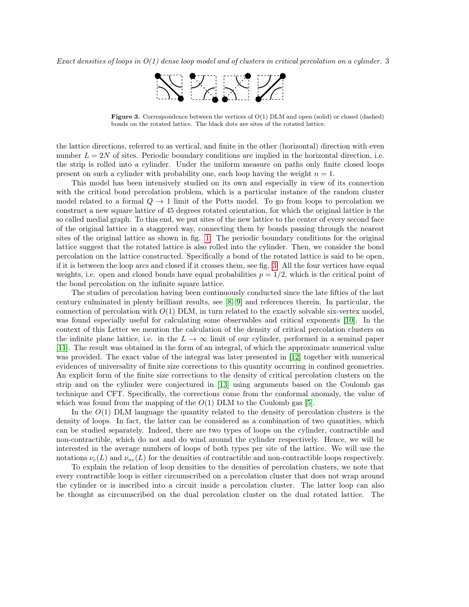

<span id="page-2-0"></span>**Figure 3.** Correspondence between the vertices of  $O(1)$  DLM and open (solid) or closed (dashed) bonds on the rotated lattice. The black dots are sites of the rotated lattice.

the lattice directions, referred to as vertical, and finite in the other (horizontal) direction with even number  $L = 2N$  of sites. Periodic boundary conditions are implied in the horizontal direction, i.e. the strip is rolled into a cylinder. Under the uniform measure on paths only finite closed loops present on such a cylinder with probability one, each loop having the weight  $n = 1$ .

This model has been intensively studied on its own and especially in view of its connection with the critical bond percolation problem, which is a particular instance of the random cluster model related to a formal  $Q \to 1$  limit of the Potts model. To go from loops to percolation we construct a new square lattice of 45 degrees rotated orientation, for which the original lattice is the so called medial graph. To this end, we put sites of the new lattice to the center of every second face of the original lattice in a staggered way, connecting them by bonds passing through the nearest sites of the original lattice as shown in fig. [1.](#page-1-0) The periodic boundary conditions for the original lattice suggest that the rotated lattice is also rolled into the cylinder. Then, we consider the bond percolation on the lattice constructed. Specifically a bond of the rotated lattice is said to be open, if it is between the loop arcs and closed if it crosses them, see fig. [3.](#page-2-0) All the four vertices have equal weights, i.e. open and closed bonds have equal probabilities  $p = 1/2$ , which is the critical point of the bond percolation on the infinite square lattice.

The studies of percolation having been continuously conducted since the late fifties of the last century culminated in plenty brilliant results, see [\[8,](#page-12-3) [9\]](#page-12-4) and references therein. In particular, the connection of percolation with  $O(1)$  DLM, in turn related to the exactly solvable six-vertex model, was found especially useful for calculating some observables and critical exponents [\[10\]](#page-12-5). In the context of this Letter we mention the calculation of the density of critical percolation clusters on the infinite plane lattice, i.e. in the  $L \to \infty$  limit of our cylinder, performed in a seminal paper [\[11\]](#page-12-6). The result was obtained in the form of an integral, of which the approximate numerical value was provided. The exact value of the integral was later presented in [\[12\]](#page-12-7) together with numerical evidences of universality of finite size corrections to this quantity occurring in confined geometries. An explicit form of the finite size corrections to the density of critical percolation clusters on the strip and on the cylinder were conjectured in [\[13\]](#page-12-8) using arguments based on the Coulomb gas technique and CFT. Specifically, the corrections come from the conformal anomaly, the value of which was found from the mapping of the  $O(1)$  DLM to the Coulomb gas [\[5\]](#page-12-0).

In the  $O(1)$  DLM language the quantity related to the density of percolation clusters is the density of loops. In fact, the latter can be considered as a combination of two quantities, which can be studied separately. Indeed, there are two types of loops on the cylinder, contractible and non-contractible, which do not and do wind around the cylinder respectively. Hence, we will be interested in the average numbers of loops of both types per site of the lattice. We will use the notations  $\nu_c(L)$  and  $\nu_{nc}(L)$  for the densities of contractible and non-contractible loops respectively.

To explain the relation of loop densities to the densities of percolation clusters, we note that every contractible loop is either circumscribed on a percolation cluster that does not wrap around the cylinder or is inscribed into a circuit inside a percolation cluster. The latter loop can also be thought as circumscribed on the dual percolation cluster on the dual rotated lattice. The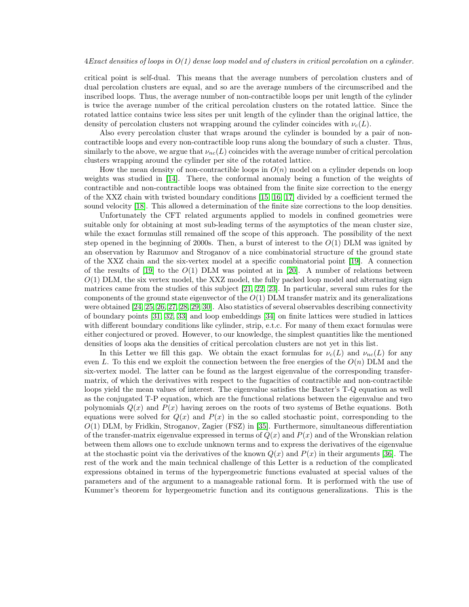critical point is self-dual. This means that the average numbers of percolation clusters and of dual percolation clusters are equal, and so are the average numbers of the circumscribed and the inscribed loops. Thus, the average number of non-contractible loops per unit length of the cylinder is twice the average number of the critical percolation clusters on the rotated lattice. Since the rotated lattice contains twice less sites per unit length of the cylinder than the original lattice, the density of percolation clusters not wrapping around the cylinder coincides with  $\nu_c(L)$ .

Also every percolation cluster that wraps around the cylinder is bounded by a pair of noncontractible loops and every non-contractible loop runs along the boundary of such a cluster. Thus, similarly to the above, we argue that  $\nu_{nc}(L)$  coincides with the average number of critical percolation clusters wrapping around the cylinder per site of the rotated lattice.

How the mean density of non-contractible loops in  $O(n)$  model on a cylinder depends on loop weights was studied in [\[14\]](#page-12-9). There, the conformal anomaly being a function of the weights of contractible and non-contractible loops was obtained from the finite size correction to the energy of the XXZ chain with twisted boundary conditions [\[15,](#page-12-10) [16,](#page-12-11) [17\]](#page-12-12) divided by a coefficient termed the sound velocity [\[18\]](#page-12-13). This allowed a determination of the finite size corrections to the loop densities.

Unfortunately the CFT related arguments applied to models in confined geometries were suitable only for obtaining at most sub-leading terms of the asymptotics of the mean cluster size, while the exact formulas still remained off the scope of this approach. The possibility of the next step opened in the beginning of 2000s. Then, a burst of interest to the  $O(1)$  DLM was ignited by an observation by Razumov and Stroganov of a nice combinatorial structure of the ground state of the XXZ chain and the six-vertex model at a specific combinatorial point [\[19\]](#page-12-14). A connection of the results of [\[19\]](#page-12-14) to the  $O(1)$  DLM was pointed at in [\[20\]](#page-12-15). A number of relations between  $O(1)$  DLM, the six vertex model, the XXZ model, the fully packed loop model and alternating sign matrices came from the studies of this subject [\[21,](#page-12-16) [22,](#page-12-17) [23\]](#page-12-18). In particular, several sum rules for the components of the ground state eigenvector of the  $O(1)$  DLM transfer matrix and its generalizations were obtained [\[24,](#page-12-19) [25,](#page-12-20) [26,](#page-12-21) [27,](#page-12-22) [28,](#page-12-23) [29,](#page-12-24) [30\]](#page-12-25). Also statistics of several observables describing connectivity of boundary points [\[31,](#page-12-26) [32,](#page-12-27) [33\]](#page-12-28) and loop embeddings [\[34\]](#page-12-29) on finite lattices were studied in lattices with different boundary conditions like cylinder, strip, e.t.c. For many of them exact formulas were either conjectured or proved. However, to our knowledge, the simplest quantities like the mentioned densities of loops aka the densities of critical percolation clusters are not yet in this list.

In this Letter we fill this gap. We obtain the exact formulas for  $\nu_c(L)$  and  $\nu_{nc}(L)$  for any even L. To this end we exploit the connection between the free energies of the  $O(n)$  DLM and the six-vertex model. The latter can be found as the largest eigenvalue of the corresponding transfermatrix, of which the derivatives with respect to the fugacities of contractible and non-contractible loops yield the mean values of interest. The eigenvalue satisfies the Baxter's T-Q equation as well as the conjugated T-P equation, which are the functional relations between the eigenvalue and two polynomials  $Q(x)$  and  $P(x)$  having zeroes on the roots of two systems of Bethe equations. Both equations were solved for  $Q(x)$  and  $P(x)$  in the so called stochastic point, corresponding to the O(1) DLM, by Fridkin, Stroganov, Zagier (FSZ) in [\[35\]](#page-12-30). Furthermore, simultaneous differentiation of the transfer-matrix eigenvalue expressed in terms of  $Q(x)$  and  $P(x)$  and of the Wronskian relation between them allows one to exclude unknown terms and to express the derivatives of the eigenvalue at the stochastic point via the derivatives of the known  $Q(x)$  and  $P(x)$  in their arguments [\[36\]](#page-12-31). The rest of the work and the main technical challenge of this Letter is a reduction of the complicated expressions obtained in terms of the hypergeometric functions evaluated at special values of the parameters and of the argument to a manageable rational form. It is performed with the use of Kummer's theorem for hypergeometric function and its contiguous generalizations. This is the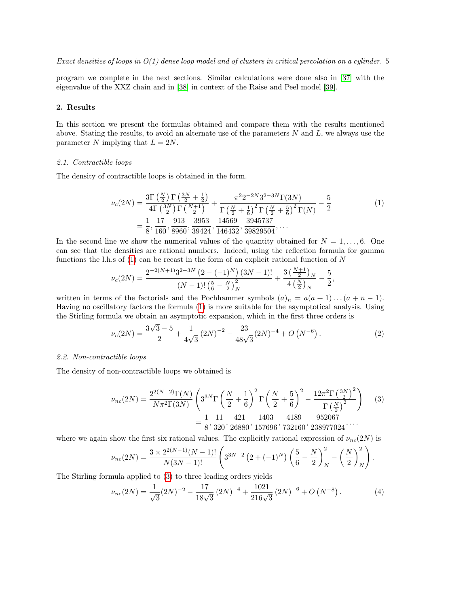program we complete in the next sections. Similar calculations were done also in [\[37\]](#page-12-32) with the eigenvalue of the XXZ chain and in [\[38\]](#page-12-33) in context of the Raise and Peel model [\[39\]](#page-12-34).

## 2. Results

In this section we present the formulas obtained and compare them with the results mentioned above. Stating the results, to avoid an alternate use of the parameters  $N$  and  $L$ , we always use the parameter N implying that  $L = 2N$ .

## 2.1. Contractible loops

The density of contractible loops is obtained in the form.

<span id="page-4-0"></span>
$$
\nu_c(2N) = \frac{3\Gamma\left(\frac{N}{2}\right)\Gamma\left(\frac{3N}{2} + \frac{1}{2}\right)}{4\Gamma\left(\frac{3N}{2}\right)\Gamma\left(\frac{N+1}{2}\right)} + \frac{\pi^2 2^{-2N} 3^{2-3N} \Gamma(3N)}{\Gamma\left(\frac{N}{2} + \frac{1}{6}\right)^2 \Gamma\left(\frac{N}{2} + \frac{5}{6}\right)^2 \Gamma(N)} - \frac{5}{2}
$$
\n
$$
= \frac{1}{8}, \frac{17}{160}, \frac{913}{8960}, \frac{3953}{39424}, \frac{14569}{146432}, \frac{3945737}{39829504}, \dots
$$
\n(1)

In the second line we show the numerical values of the quantity obtained for  $N = 1, \ldots, 6$ . One can see that the densities are rational numbers. Indeed, using the reflection formula for gamma functions the l.h.s of  $(1)$  can be recast in the form of an explicit rational function of N

$$
\nu_c(2N) = \frac{2^{-2(N+1)}3^{2-3N} (2 - (-1)^N) (3N - 1)!}{(N-1)! \left(\frac{5}{6} - \frac{N}{2}\right)_N^2} + \frac{3 \left(\frac{N+1}{2}\right)_N}{4 \left(\frac{N}{2}\right)_N} - \frac{5}{2},
$$

written in terms of the factorials and the Pochhammer symbols  $(a)_n = a(a+1)...(a+n-1)$ . Having no oscillatory factors the formula [\(1\)](#page-4-0) is more suitable for the asymptotical analysis. Using the Stirling formula we obtain an asymptotic expansion, which in the first three orders is

<span id="page-4-2"></span>
$$
\nu_c(2N) = \frac{3\sqrt{3}-5}{2} + \frac{1}{4\sqrt{3}} \left(2N\right)^{-2} - \frac{23}{48\sqrt{3}} \left(2N\right)^{-4} + O\left(N^{-6}\right). \tag{2}
$$

## 2.2. Non-contractible loops

The density of non-contractible loops we obtained is

<span id="page-4-1"></span>
$$
\nu_{nc}(2N) = \frac{2^{2(N-2)}\Gamma(N)}{N\pi^2\Gamma(3N)} \left(3^{3N}\Gamma\left(\frac{N}{2} + \frac{1}{6}\right)^2 \Gamma\left(\frac{N}{2} + \frac{5}{6}\right)^2 - \frac{12\pi^2\Gamma\left(\frac{3N}{2}\right)^2}{\Gamma\left(\frac{N}{2}\right)^2}\right) \tag{3}
$$

$$
= \frac{1}{8}, \frac{11}{320}, \frac{421}{26880}, \frac{1403}{157696}, \frac{4189}{732160}, \frac{952067}{238977024}, \dots
$$

where we again show the first six rational values. The explicitly rational expression of  $\nu_{nc}(2N)$  is

$$
\nu_{nc}(2N) = \frac{3 \times 2^{2(N-1)}(N-1)!}{N(3N-1)!} \left(3^{3N-2} \left(2 + (-1)^N\right) \left(\frac{5}{6} - \frac{N}{2}\right)_N^2 - \left(\frac{N}{2}\right)_N^2\right).
$$

The Stirling formula applied to [\(3\)](#page-4-1) to three leading orders yields

$$
\nu_{nc}(2N) = \frac{1}{\sqrt{3}}(2N)^{-2} - \frac{17}{18\sqrt{3}}(2N)^{-4} + \frac{1021}{216\sqrt{3}}(2N)^{-6} + O(N^{-8}).
$$
 (4)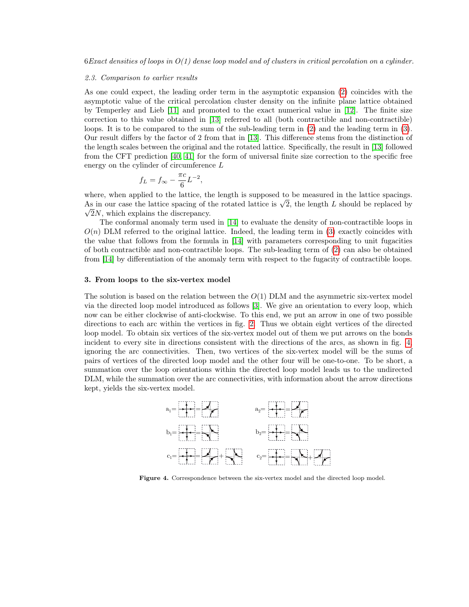#### 2.3. Comparison to earlier results

As one could expect, the leading order term in the asymptotic expansion [\(2\)](#page-4-2) coincides with the asymptotic value of the critical percolation cluster density on the infinite plane lattice obtained by Temperley and Lieb [\[11\]](#page-12-6) and promoted to the exact numerical value in [\[12\]](#page-12-7). The finite size correction to this value obtained in [\[13\]](#page-12-8) referred to all (both contractible and non-contractible) loops. It is to be compared to the sum of the sub-leading term in [\(2\)](#page-4-2) and the leading term in [\(3\)](#page-4-1). Our result differs by the factor of 2 from that in [\[13\]](#page-12-8). This difference stems from the distinction of the length scales between the original and the rotated lattice. Specifically, the result in [\[13\]](#page-12-8) followed from the CFT prediction [\[40,](#page-12-35) [41\]](#page-12-36) for the form of universal finite size correction to the specific free energy on the cylinder of circumference L

$$
f_L = f_{\infty} - \frac{\pi c}{6} L^{-2},
$$

where, when applied to the lattice, the length is supposed to be measured in the lattice spacings. where, when applied to the lattice, the length is supposed to be measured in the lattice spacings.<br>As in our case the lattice spacing of the rotated lattice is  $\sqrt{2}$ , the length L should be replaced by  $\sqrt{2N}$ , which explains the discrepancy.

The conformal anomaly term used in [\[14\]](#page-12-9) to evaluate the density of non-contractible loops in  $O(n)$  DLM referred to the original lattice. Indeed, the leading term in [\(3\)](#page-4-1) exactly coincides with the value that follows from the formula in [\[14\]](#page-12-9) with parameters corresponding to unit fugacities of both contractible and non-contractible loops. The sub-leading term of [\(2\)](#page-4-2) can also be obtained from [\[14\]](#page-12-9) by differentiation of the anomaly term with respect to the fugacity of contractible loops.

## 3. From loops to the six-vertex model

The solution is based on the relation between the  $O(1)$  DLM and the asymmetric six-vertex model via the directed loop model introduced as follows [\[3\]](#page-11-2). We give an orientation to every loop, which now can be either clockwise of anti-clockwise. To this end, we put an arrow in one of two possible directions to each arc within the vertices in fig. [2.](#page-1-1) Thus we obtain eight vertices of the directed loop model. To obtain six vertices of the six-vertex model out of them we put arrows on the bonds incident to every site in directions consistent with the directions of the arcs, as shown in fig. [4,](#page-5-0) ignoring the arc connectivities. Then, two vertices of the six-vertex model will be the sums of pairs of vertices of the directed loop model and the other four will be one-to-one. To be short, a summation over the loop orientations within the directed loop model leads us to the undirected DLM, while the summation over the arc connectivities, with information about the arrow directions kept, yields the six-vertex model.



<span id="page-5-0"></span>Figure 4. Correspondence between the six-vertex model and the directed loop model.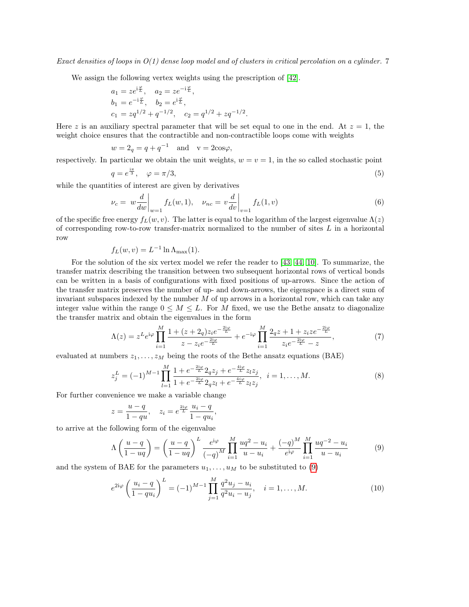We assign the following vertex weights using the prescription of [\[42\]](#page-12-37).

$$
a_1 = ze^{i\frac{\varphi}{L}}, \quad a_2 = ze^{-i\frac{\varphi}{L}},
$$
  
\n
$$
b_1 = e^{-i\frac{\varphi}{L}}, \quad b_2 = e^{i\frac{\varphi}{L}},
$$
  
\n
$$
c_1 = zq^{1/2} + q^{-1/2}, \quad c_2 = q^{1/2} + zq^{-1/2}.
$$

Here z is an auxiliary spectral parameter that will be set equal to one in the end. At  $z = 1$ , the weight choice ensures that the contractible and non-contractible loops come with weights

$$
w = 2q = q + q-1 \text{ and } v = 2\cos\varphi,
$$

respectively. In particular we obtain the unit weights,  $w = v = 1$ , in the so called stochastic point

<span id="page-6-4"></span>
$$
q = e^{\frac{i\pi}{3}}, \quad \varphi = \pi/3,\tag{5}
$$

while the quantities of interest are given by derivatives

<span id="page-6-5"></span>
$$
\nu_c = w \frac{d}{dw} \bigg|_{w=1} f_L(w, 1), \quad \nu_{nc} = v \frac{d}{dv} \bigg|_{v=1} f_L(1, v) \tag{6}
$$

of the specific free energy  $f_L(w, v)$ . The latter is equal to the logarithm of the largest eigenvalue  $\Lambda(z)$ of corresponding row-to-row transfer-matrix normalized to the number of sites  $L$  in a horizontal row

$$
f_L(w, v) = L^{-1} \ln \Lambda_{\text{max}}(1).
$$

For the solution of the six vertex model we refer the reader to [\[43,](#page-12-38) [44,](#page-12-39) [10\]](#page-12-5). To summarize, the transfer matrix describing the transition between two subsequent horizontal rows of vertical bonds can be written in a basis of configurations with fixed positions of up-arrows. Since the action of the transfer matrix preserves the number of up- and down-arrows, the eigenspace is a direct sum of invariant subspaces indexed by the number  $M$  of up arrows in a horizontal row, which can take any integer value within the range  $0 \leq M \leq L$ . For M fixed, we use the Bethe ansatz to diagonalize the transfer matrix and obtain the eigenvalues in the form

<span id="page-6-2"></span>
$$
\Lambda(z) = z^L e^{i\varphi} \prod_{i=1}^M \frac{1 + (z + 2_q) z_i e^{-\frac{2i\varphi}{L}}}{z - z_i e^{-\frac{2i\varphi}{L}}} + e^{-i\varphi} \prod_{i=1}^M \frac{2_q z + 1 + z_i z e^{-\frac{2i\varphi}{L}}}{z_i e^{-\frac{2i\varphi}{L}} - z},\tag{7}
$$

evaluated at numbers  $z_1, \ldots, z_M$  being the roots of the Bethe ansatz equations (BAE)

<span id="page-6-1"></span>
$$
z_j^L = (-1)^{M-1} \prod_{l=1}^M \frac{1 + e^{-\frac{2i\varphi}{L}} 2_q z_j + e^{-\frac{4i\varphi}{L}} z_l z_j}{1 + e^{-\frac{2i\varphi}{L}} 2_q z_l + e^{-\frac{4i\varphi}{L}} z_l z_j}, \quad i = 1, \dots, M.
$$
 (8)

For further convenience we make a variable change

$$
z = \frac{u - q}{1 - qu}, \quad z_i = e^{\frac{2i\varphi}{L}} \frac{u_i - q}{1 - qu_i},
$$

to arrive at the following form of the eigenvalue

<span id="page-6-0"></span>
$$
\Lambda\left(\frac{u-q}{1-uq}\right) = \left(\frac{u-q}{1-uq}\right)^L \frac{e^{i\varphi}}{(-q)^M} \prod_{i=1}^M \frac{uq^2 - u_i}{u - u_i} + \frac{(-q)^M}{e^{i\varphi}} \prod_{i=1}^M \frac{uq^{-2} - u_i}{u - u_i} \tag{9}
$$

and the system of BAE for the parameters  $u_1, \ldots, u_M$  to be substituted to [\(9\)](#page-6-0)

<span id="page-6-3"></span>
$$
e^{2i\varphi} \left(\frac{u_i - q}{1 - qu_i}\right)^L = (-1)^{M-1} \prod_{j=1}^M \frac{q^2 u_j - u_i}{q^2 u_i - u_j}, \quad i = 1, \dots, M. \tag{10}
$$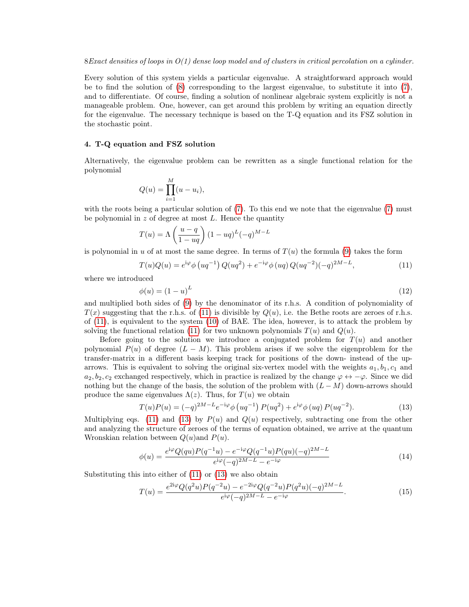Every solution of this system yields a particular eigenvalue. A straightforward approach would be to find the solution of [\(8\)](#page-6-1) corresponding to the largest eigenvalue, to substitute it into [\(7\)](#page-6-2), and to differentiate. Of course, finding a solution of nonlinear algebraic system explicitly is not a manageable problem. One, however, can get around this problem by writing an equation directly for the eigenvalue. The necessary technique is based on the T-Q equation and its FSZ solution in the stochastic point.

## 4. T-Q equation and FSZ solution

Alternatively, the eigenvalue problem can be rewritten as a single functional relation for the polynomial

$$
Q(u) = \prod_{i=1}^{M} (u - u_i),
$$

with the roots being a particular solution of [\(7\)](#page-6-2). To this end we note that the eigenvalue (7) must be polynomial in  $z$  of degree at most  $L$ . Hence the quantity

$$
T(u) = \Lambda \left(\frac{u-q}{1-uq}\right) (1-uq)^L (-q)^{M-L}
$$

is polynomial in u of at most the same degree. In terms of  $T(u)$  the formula [\(9\)](#page-6-0) takes the form

<span id="page-7-0"></span>
$$
T(u)Q(u) = e^{i\varphi} \phi (uq^{-1}) Q(uq^2) + e^{-i\varphi} \phi (uq) Q(uq^{-2}) (-q)^{2M-L},
$$
\n(11)

where we introduced

$$
\phi(u) = (1 - u)^L \tag{12}
$$

and multiplied both sides of [\(9\)](#page-6-0) by the denominator of its r.h.s. A condition of polynomiality of  $T(x)$  suggesting that the r.h.s. of [\(11\)](#page-7-0) is divisible by  $Q(u)$ , i.e. the Bethe roots are zeroes of r.h.s. of [\(11\)](#page-7-0), is equivalent to the system [\(10\)](#page-6-3) of BAE. The idea, however, is to attack the problem by solving the functional relation [\(11\)](#page-7-0) for two unknown polynomials  $T(u)$  and  $Q(u)$ .

Before going to the solution we introduce a conjugated problem for  $T(u)$  and another polynomial  $P(u)$  of degree  $(L - M)$ . This problem arises if we solve the eigenproblem for the transfer-matrix in a different basis keeping track for positions of the down- instead of the uparrows. This is equivalent to solving the original six-vertex model with the weights  $a_1, b_1, c_1$  and  $a_2, b_2, c_2$  exchanged respectively, which in practice is realized by the change  $\varphi \leftrightarrow -\varphi$ . Since we did nothing but the change of the basis, the solution of the problem with  $(L-M)$  down-arrows should produce the same eigenvalues  $\Lambda(z)$ . Thus, for  $T(u)$  we obtain

<span id="page-7-1"></span>
$$
T(u)P(u) = (-q)^{2M-L}e^{-i\varphi} \phi\left(uq^{-1}\right)P(uq^2) + e^{i\varphi} \phi\left(uq\right)P(uq^{-2}).
$$
\n(13)

Multiplying eqs. [\(11\)](#page-7-0) and [\(13\)](#page-7-1) by  $P(u)$  and  $Q(u)$  respectively, subtracting one from the other and analyzing the structure of zeroes of the terms of equation obtained, we arrive at the quantum Wronskian relation between  $Q(u)$  and  $P(u)$ .

<span id="page-7-2"></span>
$$
\phi(u) = \frac{e^{i\varphi}Q-qu)P(q^{-1}u) - e^{-i\varphi}Q(q^{-1}u)P-qu)(-q)^{2M-L}}{e^{i\varphi}(-q)^{2M-L} - e^{-i\varphi}}\tag{14}
$$

Substituting this into either of [\(11\)](#page-7-0) or [\(13\)](#page-7-1) we also obtain

<span id="page-7-3"></span>
$$
T(u) = \frac{e^{2i\varphi}Q(q^2u)P(q^{-2}u) - e^{-2i\varphi}Q(q^{-2}u)P(q^2u)(-q)^{2M-L}}{e^{i\varphi}(-q)^{2M-L} - e^{-i\varphi}}.
$$
\n(15)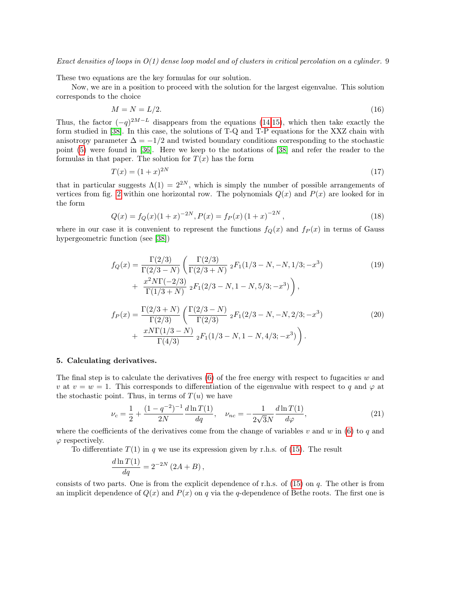These two equations are the key formulas for our solution.

Now, we are in a position to proceed with the solution for the largest eigenvalue. This solution corresponds to the choice

$$
M = N = L/2.\tag{16}
$$

Thus, the factor  $(-q)^{2M-L}$  disappears from the equations [\(14,](#page-7-2)[15\)](#page-7-3), which then take exactly the form studied in [\[38\]](#page-12-33). In this case, the solutions of T-Q and T-P equations for the XXZ chain with anisotropy parameter  $\Delta = -1/2$  and twisted boundary conditions corresponding to the stochastic point [\(5\)](#page-6-4) were found in [\[36\]](#page-12-31). Here we keep to the notations of [\[38\]](#page-12-33) and refer the reader to the formulas in that paper. The solution for  $T(x)$  has the form

$$
T(x) = (1+x)^{2N} \tag{17}
$$

that in particular suggests  $\Lambda(1) = 2^{2N}$ , which is simply the number of possible arrangements of vertices from fig. [2](#page-1-1) within one horizontal row. The polynomials  $Q(x)$  and  $P(x)$  are looked for in the form

<span id="page-8-1"></span>
$$
Q(x) = f_Q(x)(1+x)^{-2N}, P(x) = f_P(x)(1+x)^{-2N},
$$
\n(18)

where in our case it is convenient to represent the functions  $f_Q(x)$  and  $f_P(x)$  in terms of Gauss hypergeometric function (see [\[38\]](#page-12-33))

<span id="page-8-3"></span>
$$
f_Q(x) = \frac{\Gamma(2/3)}{\Gamma(2/3 - N)} \left( \frac{\Gamma(2/3)}{\Gamma(2/3 + N)} 2F_1(1/3 - N, -N, 1/3; -x^3) + \frac{x^2 N \Gamma(-2/3)}{\Gamma(1/3 + N)} 2F_1(2/3 - N, 1 - N, 5/3; -x^3) \right),
$$
\n
$$
f_P(x) = \frac{\Gamma(2/3 + N)}{\Gamma(2/3)} \left( \frac{\Gamma(2/3 - N)}{\Gamma(2/3)} 2F_1(2/3 - N, -N, 2/3; -x^3) \right) \tag{20}
$$

<span id="page-8-2"></span>+ 
$$
\frac{xN\Gamma(1/3-N)}{\Gamma(4/3)} {}_{2}F_{1}(1/3-N,1-N,4/3;-x^{3})
$$

## 5. Calculating derivatives.

The final step is to calculate the derivatives  $(6)$  of the free energy with respect to fugacities w and v at  $v = w = 1$ . This corresponds to differentiation of the eigenvalue with respect to q and  $\varphi$  at the stochastic point. Thus, in terms of  $T(u)$  we have

<span id="page-8-0"></span>
$$
\nu_c = \frac{1}{2} + \frac{(1 - q^{-2})^{-1}}{2N} \frac{d \ln T(1)}{dq}, \quad \nu_{nc} = -\frac{1}{2\sqrt{3}N} \frac{d \ln T(1)}{d\varphi},\tag{21}
$$

where the coefficients of the derivatives come from the change of variables v and w in [\(6\)](#page-6-5) to q and  $\varphi$  respectively.

To differentiate  $T(1)$  in q we use its expression given by r.h.s. of [\(15\)](#page-7-3). The result

$$
\frac{d\ln T(1)}{dq} = 2^{-2N} \left(2A + B\right),\,
$$

consists of two parts. One is from the explicit dependence of r.h.s. of  $(15)$  on q. The other is from an implicit dependence of  $Q(x)$  and  $P(x)$  on q via the q-dependence of Bethe roots. The first one is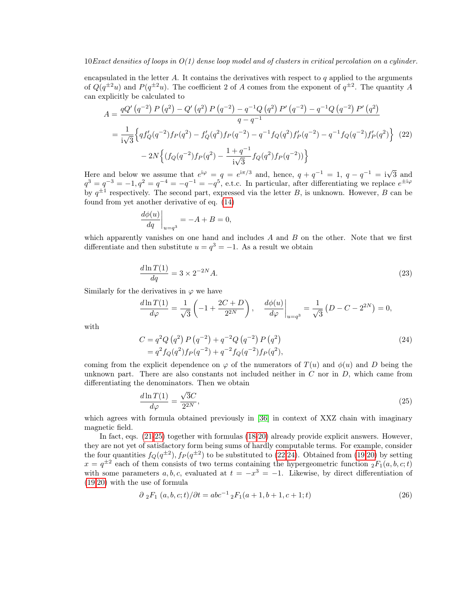encapsulated in the letter A. It contains the derivatives with respect to q applied to the arguments of  $Q(q^{\pm 2}u)$  and  $P(q^{\pm 2}u)$ . The coefficient 2 of A comes from the exponent of  $q^{\pm 2}$ . The quantity A can explicitly be calculated to

<span id="page-9-1"></span>
$$
A = \frac{qQ'\left(q^{-2}\right)P\left(q^{2}\right) - Q'\left(q^{2}\right)P\left(q^{-2}\right) - q^{-1}Q\left(q^{2}\right)P'\left(q^{-2}\right) - q^{-1}Q\left(q^{-2}\right)P'\left(q^{2}\right)}{q - q^{-1}}
$$
\n
$$
= \frac{1}{i\sqrt{3}} \Big\{ qf'_{Q}(q^{-2})f_{P}(q^{2}) - f'_{Q}(q^{2})f_{P}(q^{-2}) - q^{-1}f_{Q}(q^{2})f'_{P}(q^{-2}) - q^{-1}f_{Q}(q^{-2})f'_{P}(q^{2}) \Big\} \tag{22}
$$
\n
$$
- 2N \Big\{ (f_{Q}(q^{-2})f_{P}(q^{2}) - \frac{1 + q^{-1}}{i\sqrt{3}}f_{Q}(q^{2})f_{P}(q^{-2})) \Big\}
$$

Here and below we assume that  $e^{i\varphi} = q = e^{i\pi/3}$  and, hence,  $q + q^{-1} = 1$ ,  $q - q^{-1} = i\sqrt{3}$  and  $q^3 = q^{-3} = -1, q^2 = q^{-4} = -q^{-1} = -q^5$ , e.t.c. In particular, after differentiating we replace  $e^{\pm i\varphi}$ by  $q^{\pm 1}$  respectively. The second part, expressed via the letter B, is unknown. However, B can be found from yet another derivative of eq. [\(14\)](#page-7-2)

$$
\left. \frac{d\phi(u)}{dq} \right|_{u=q^3} = -A + B = 0,
$$

which apparently vanishes on one hand and includes  $A$  and  $B$  on the other. Note that we first differentiate and then substitute  $u = q^3 = -1$ . As a result we obtain

<span id="page-9-4"></span>
$$
\frac{d\ln T(1)}{dq} = 3 \times 2^{-2N} A.
$$
\n
$$
(23)
$$

Similarly for the derivatives in  $\varphi$  we have

$$
\frac{d \ln T(1)}{d \varphi} = \frac{1}{\sqrt{3}} \left( -1 + \frac{2C + D}{2^{2N}} \right), \quad \frac{d \phi(u)}{d \varphi}\Big|_{u=q^3} = \frac{1}{\sqrt{3}} \left( D - C - 2^{2N} \right) = 0,
$$

with

<span id="page-9-2"></span>
$$
C = q^2 Q (q^2) P (q^{-2}) + q^{-2} Q (q^{-2}) P (q^2)
$$
  
=  $q^2 f_Q(q^2) f_P(q^{-2}) + q^{-2} f_Q(q^{-2}) f_P(q^2)$ , (24)

coming from the explicit dependence on  $\varphi$  of the numerators of  $T(u)$  and  $\varphi(u)$  and D being the unknown part. There are also constants not included neither in  $C$  nor in  $D$ , which came from differentiating the denominators. Then we obtain

<span id="page-9-0"></span>
$$
\frac{d\ln T(1)}{d\varphi} = \frac{\sqrt{3}C}{2^{2N}},\tag{25}
$$

which agrees with formula obtained previously in [\[36\]](#page-12-31) in context of XXZ chain with imaginary magnetic field.

In fact, eqs. [\(21-](#page-8-0)[25\)](#page-9-0) together with formulas [\(18-](#page-8-1)[20\)](#page-8-2) already provide explicit answers. However, they are not yet of satisfactory form being sums of hardly computable terms. For example, consider the four quantities  $f_Q(q^{\pm 2})$ ,  $f_P(q^{\pm 2})$  to be substituted to [\(22,](#page-9-1)[24\)](#page-9-2). Obtained from [\(19,](#page-8-3)[20\)](#page-8-2) by setting  $x = q^{\pm 2}$  each of them consists of two terms containing the hypergeometric function  ${}_2F_1(a, b, c; t)$ with some parameters  $a, b, c$ , evaluated at  $t = -x^3 = -1$ . Likewise, by direct differentiation of [\(19,](#page-8-3)[20\)](#page-8-2) with the use of formula

<span id="page-9-3"></span>
$$
\partial_2 F_1(a, b, c; t) / \partial t = abc^{-1} {}_2F_1(a+1, b+1, c+1; t)
$$
\n(26)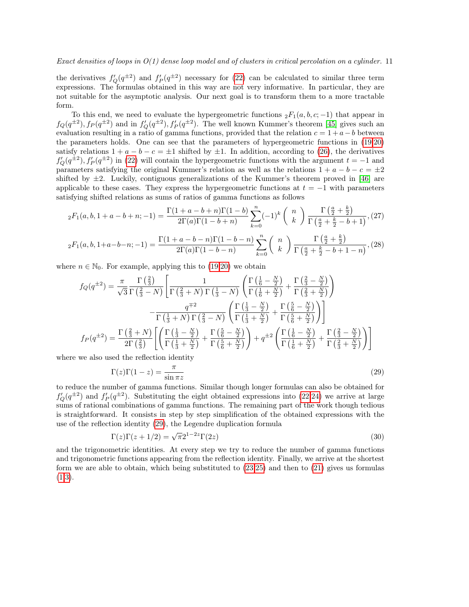the derivatives  $f'_{Q}(q^{\pm 2})$  and  $f'_{P}(q^{\pm 2})$  necessary for [\(22\)](#page-9-1) can be calculated to similar three term expressions. The formulas obtained in this way are not very informative. In particular, they are not suitable for the asymptotic analysis. Our next goal is to transform them to a more tractable form.

To this end, we need to evaluate the hypergeometric functions  ${}_2F_1(a, b, c; -1)$  that appear in  $f_Q(q^{\pm 2}), f_P(q^{\pm 2})$  and in  $f'_Q(q^{\pm 2}), f'_P(q^{\pm 2})$ . The well known Kummer's theorem [\[45\]](#page-12-40) gives such an evaluation resulting in a ratio of gamma functions, provided that the relation  $c = 1 + a - b$  between the parameters holds. One can see that the parameters of hypergeometric functions in [\(19,](#page-8-3)[20\)](#page-8-2) satisfy relations  $1 + a - b - c = \pm 1$  shifted by  $\pm 1$ . In addition, according to [\(26\)](#page-9-3), the derivatives  $f'_{Q}(q^{\pm 2}), f'_{P}(q^{\pm 2})$  in [\(22\)](#page-9-1) will contain the hypergeometric functions with the argument  $t = -1$  and parameters satisfying the original Kummer's relation as well as the relations  $1 + a - b - c = \pm 2$ shifted by  $\pm 2$ . Luckily, contiguous generalizations of the Kummer's theorem proved in [\[46\]](#page-12-41) are applicable to these cases. They express the hypergeometric functions at  $t = -1$  with parameters satisfying shifted relations as sums of ratios of gamma functions as follows

$$
{}_2F_1(a,b,1+a-b+n;-1) = \frac{\Gamma(1+a-b+n)\Gamma(1-b)}{2\Gamma(a)\Gamma(1-b+n)} \sum_{k=0}^n (-1)^k \binom{n}{k} \frac{\Gamma(\frac{a}{2} + \frac{k}{2})}{\Gamma(\frac{a}{2} + \frac{k}{2} - b + 1)},
$$
(27)

$$
{}_2F_1(a,b,1+a-b-n;-1) = \frac{\Gamma(1+a-b-n)\Gamma(1-b-n)}{2\Gamma(a)\Gamma(1-b-n)} \sum_{k=0}^n \binom{n}{k} \frac{\Gamma(\frac{a}{2} + \frac{k}{2})}{\Gamma(\frac{a}{2} + \frac{k}{2} - b + 1 - n)},
$$
(28)

where  $n \in \mathbb{N}_0$ . For example, applying this to [\(19,](#page-8-3)[20\)](#page-8-2) we obtain

<span id="page-10-0"></span>
$$
f_Q(q^{\pm 2}) = \frac{\pi}{\sqrt{3}} \frac{\Gamma\left(\frac{2}{3}\right)}{\Gamma\left(\frac{2}{3} - N\right)} \left[ \frac{1}{\Gamma\left(\frac{1}{3} + N\right)\Gamma\left(\frac{1}{3} - N\right)} \left( \frac{\Gamma\left(\frac{1}{6} - \frac{N}{2}\right)}{\Gamma\left(\frac{1}{6} + \frac{N}{2}\right)} + \frac{\Gamma\left(\frac{2}{3} - \frac{N}{2}\right)}{\Gamma\left(\frac{2}{3} + \frac{N}{2}\right)} \right) \right]
$$

$$
- \frac{q^{\mp 2}}{\Gamma\left(\frac{1}{3} + N\right)\Gamma\left(\frac{2}{3} - N\right)} \left( \frac{\Gamma\left(\frac{1}{3} - \frac{N}{2}\right)}{\Gamma\left(\frac{1}{3} + \frac{N}{2}\right)} + \frac{\Gamma\left(\frac{5}{6} - \frac{N}{2}\right)}{\Gamma\left(\frac{5}{6} + \frac{N}{2}\right)} \right)
$$

$$
f_P(q^{\pm 2}) = \frac{\Gamma\left(\frac{2}{3} + N\right)}{2\Gamma\left(\frac{2}{3}\right)} \left[ \left( \frac{\Gamma\left(\frac{1}{3} - \frac{N}{2}\right)}{\Gamma\left(\frac{1}{3} + \frac{N}{2}\right)} + \frac{\Gamma\left(\frac{5}{6} - \frac{N}{2}\right)}{\Gamma\left(\frac{5}{6} + \frac{N}{2}\right)} \right) + q^{\pm 2} \left( \frac{\Gamma\left(\frac{1}{6} - \frac{N}{2}\right)}{\Gamma\left(\frac{1}{6} + \frac{N}{2}\right)} + \frac{\Gamma\left(\frac{2}{3} - \frac{N}{2}\right)}{\Gamma\left(\frac{2}{3} + \frac{N}{2}\right)} \right)
$$

where we also used the reflection identity

$$
\Gamma(z)\Gamma(1-z) = \frac{\pi}{\sin \pi z} \tag{29}
$$

to reduce the number of gamma functions. Similar though longer formulas can also be obtained for  $f'_{Q}(q^{\pm 2})$  and  $f'_{P}(q^{\pm 2})$ . Substituting the eight obtained expressions into [\(22,](#page-9-1)[24\)](#page-9-2) we arrive at large sums of rational combinations of gamma functions. The remaining part of the work though tedious is straightforward. It consists in step by step simplification of the obtained expressions with the use of the reflection identity [\(29\)](#page-10-0), the Legendre duplication formula

$$
\Gamma(z)\Gamma(z+1/2) = \sqrt{\pi}2^{1-2z}\Gamma(2z)
$$
\n(30)

and the trigonometric identities. At every step we try to reduce the number of gamma functions and trigonometric functions appearing from the reflection identity. Finally, we arrive at the shortest form we are able to obtain, which being substituted to [\(23,](#page-9-4)[25\)](#page-9-0) and then to [\(21\)](#page-8-0) gives us formulas  $(1,3).$  $(1,3).$  $(1,3).$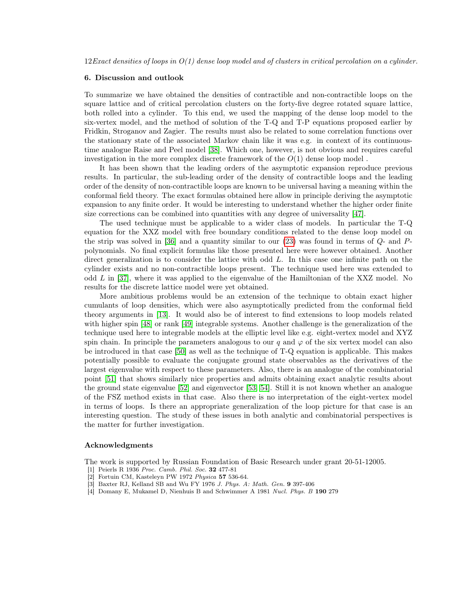#### 6. Discussion and outlook

To summarize we have obtained the densities of contractible and non-contractible loops on the square lattice and of critical percolation clusters on the forty-five degree rotated square lattice, both rolled into a cylinder. To this end, we used the mapping of the dense loop model to the six-vertex model, and the method of solution of the T-Q and T-P equations proposed earlier by Fridkin, Stroganov and Zagier. The results must also be related to some correlation functions over the stationary state of the associated Markov chain like it was e.g. in context of its continuoustime analogue Raise and Peel model [\[38\]](#page-12-33). Which one, however, is not obvious and requires careful investigation in the more complex discrete framework of the  $O(1)$  dense loop model.

It has been shown that the leading orders of the asymptotic expansion reproduce previous results. In particular, the sub-leading order of the density of contractible loops and the leading order of the density of non-contractible loops are known to be universal having a meaning within the conformal field theory. The exact formulas obtained here allow in principle deriving the asymptotic expansion to any finite order. It would be interesting to understand whether the higher order finite size corrections can be combined into quantities with any degree of universality [\[47\]](#page-12-42).

The used technique must be applicable to a wider class of models. In particular the T-Q equation for the XXZ model with free boundary conditions related to the dense loop model on the strip was solved in [\[36\]](#page-12-31) and a quantity similar to our  $(23)$  was found in terms of  $Q$ - and  $P$ polynomials. No final explicit formulas like those presented here were however obtained. Another direct generalization is to consider the lattice with odd L. In this case one infinite path on the cylinder exists and no non-contractible loops present. The technique used here was extended to odd  $L$  in [\[37\]](#page-12-32), where it was applied to the eigenvalue of the Hamiltonian of the XXZ model. No results for the discrete lattice model were yet obtained.

More ambitious problems would be an extension of the technique to obtain exact higher cumulants of loop densities, which were also asymptotically predicted from the conformal field theory arguments in [\[13\]](#page-12-8). It would also be of interest to find extensions to loop models related with higher spin [\[48\]](#page-12-43) or rank [\[49\]](#page-12-44) integrable systems. Another challenge is the generalization of the technique used here to integrable models at the elliptic level like e.g. eight-vertex model and XYZ spin chain. In principle the parameters analogous to our q and  $\varphi$  of the six vertex model can also be introduced in that case [\[50\]](#page-12-45) as well as the technique of T-Q equation is applicable. This makes potentially possible to evaluate the conjugate ground state observables as the derivatives of the largest eigenvalue with respect to these parameters. Also, there is an analogue of the combinatorial point [\[51\]](#page-12-46) that shows similarly nice properties and admits obtaining exact analytic results about the ground state eigenvalue [\[52\]](#page-12-47) and eigenvector [\[53,](#page-12-48) [54\]](#page-12-49). Still it is not known whether an analogue of the FSZ method exists in that case. Also there is no interpretation of the eight-vertex model in terms of loops. Is there an appropriate generalization of the loop picture for that case is an interesting question. The study of these issues in both analytic and combinatorial perspectives is the matter for further investigation.

#### Acknowledgments

The work is supported by Russian Foundation of Basic Research under grant 20-51-12005.

- <span id="page-11-0"></span>[1] Peierls R 1936 Proc. Camb. Phil. Soc. 32 477-81
- <span id="page-11-1"></span>[2] Fortuin CM, Kasteleyn PW 1972 Physica 57 536-64.
- <span id="page-11-2"></span>[3] Baxter RJ, Kelland SB and Wu FY 1976 J. Phys. A: Math. Gen. 9 397-406
- <span id="page-11-3"></span>[4] Domany E, Mukamel D, Nienhuis B and Schwimmer A 1981 Nucl. Phys. B 190 279